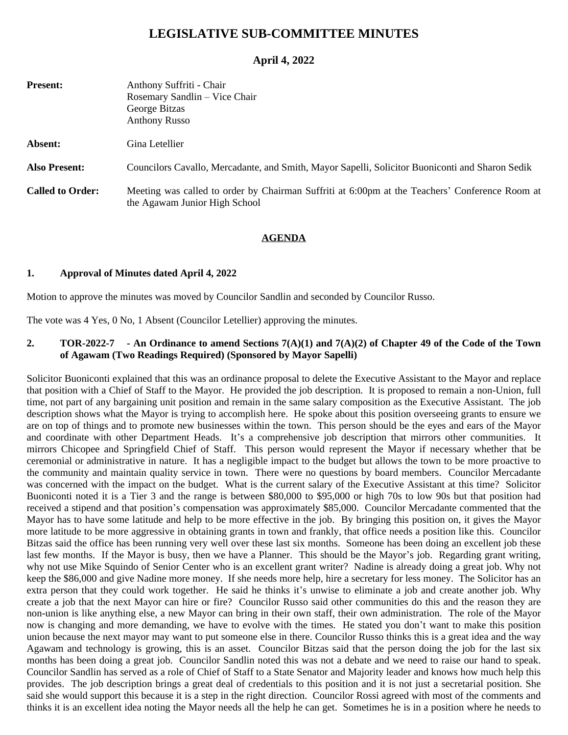# **LEGISLATIVE SUB-COMMITTEE MINUTES**

## **April 4, 2022**

| <b>Present:</b>         | Anthony Suffriti - Chair<br>Rosemary Sandlin – Vice Chair<br>George Bitzas<br><b>Anthony Russo</b>                              |
|-------------------------|---------------------------------------------------------------------------------------------------------------------------------|
| Absent:                 | Gina Letellier                                                                                                                  |
| <b>Also Present:</b>    | Councilors Cavallo, Mercadante, and Smith, Mayor Sapelli, Solicitor Buoniconti and Sharon Sedik                                 |
| <b>Called to Order:</b> | Meeting was called to order by Chairman Suffriti at 6:00pm at the Teachers' Conference Room at<br>the Agawam Junior High School |

#### **AGENDA**

#### **1. Approval of Minutes dated April 4, 2022**

Motion to approve the minutes was moved by Councilor Sandlin and seconded by Councilor Russo.

The vote was 4 Yes, 0 No, 1 Absent (Councilor Letellier) approving the minutes.

#### 2. TOR-2022-7 - An Ordinance to amend Sections  $7(A)(1)$  and  $7(A)(2)$  of Chapter 49 of the Code of the Town **of Agawam (Two Readings Required) (Sponsored by Mayor Sapelli)**

Solicitor Buoniconti explained that this was an ordinance proposal to delete the Executive Assistant to the Mayor and replace that position with a Chief of Staff to the Mayor. He provided the job description. It is proposed to remain a non-Union, full time, not part of any bargaining unit position and remain in the same salary composition as the Executive Assistant. The job description shows what the Mayor is trying to accomplish here. He spoke about this position overseeing grants to ensure we are on top of things and to promote new businesses within the town. This person should be the eyes and ears of the Mayor and coordinate with other Department Heads. It's a comprehensive job description that mirrors other communities. It mirrors Chicopee and Springfield Chief of Staff. This person would represent the Mayor if necessary whether that be ceremonial or administrative in nature. It has a negligible impact to the budget but allows the town to be more proactive to the community and maintain quality service in town. There were no questions by board members. Councilor Mercadante was concerned with the impact on the budget. What is the current salary of the Executive Assistant at this time? Solicitor Buoniconti noted it is a Tier 3 and the range is between \$80,000 to \$95,000 or high 70s to low 90s but that position had received a stipend and that position's compensation was approximately \$85,000. Councilor Mercadante commented that the Mayor has to have some latitude and help to be more effective in the job. By bringing this position on, it gives the Mayor more latitude to be more aggressive in obtaining grants in town and frankly, that office needs a position like this. Councilor Bitzas said the office has been running very well over these last six months. Someone has been doing an excellent job these last few months. If the Mayor is busy, then we have a Planner. This should be the Mayor's job. Regarding grant writing, why not use Mike Squindo of Senior Center who is an excellent grant writer? Nadine is already doing a great job. Why not keep the \$86,000 and give Nadine more money. If she needs more help, hire a secretary for less money. The Solicitor has an extra person that they could work together. He said he thinks it's unwise to eliminate a job and create another job. Why create a job that the next Mayor can hire or fire? Councilor Russo said other communities do this and the reason they are non-union is like anything else, a new Mayor can bring in their own staff, their own administration. The role of the Mayor now is changing and more demanding, we have to evolve with the times. He stated you don't want to make this position union because the next mayor may want to put someone else in there. Councilor Russo thinks this is a great idea and the way Agawam and technology is growing, this is an asset. Councilor Bitzas said that the person doing the job for the last six months has been doing a great job. Councilor Sandlin noted this was not a debate and we need to raise our hand to speak. Councilor Sandlin has served as a role of Chief of Staff to a State Senator and Majority leader and knows how much help this provides. The job description brings a great deal of credentials to this position and it is not just a secretarial position. She said she would support this because it is a step in the right direction. Councilor Rossi agreed with most of the comments and thinks it is an excellent idea noting the Mayor needs all the help he can get. Sometimes he is in a position where he needs to